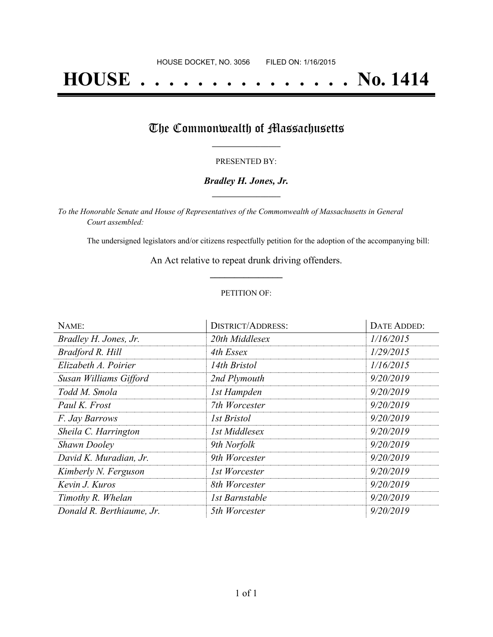# **HOUSE . . . . . . . . . . . . . . . No. 1414**

## The Commonwealth of Massachusetts

#### PRESENTED BY:

#### *Bradley H. Jones, Jr.* **\_\_\_\_\_\_\_\_\_\_\_\_\_\_\_\_\_**

*To the Honorable Senate and House of Representatives of the Commonwealth of Massachusetts in General Court assembled:*

The undersigned legislators and/or citizens respectfully petition for the adoption of the accompanying bill:

An Act relative to repeat drunk driving offenders. **\_\_\_\_\_\_\_\_\_\_\_\_\_\_\_**

#### PETITION OF:

| NAME:                     | <b>DISTRICT/ADDRESS:</b> | DATE ADDED: |
|---------------------------|--------------------------|-------------|
| Bradley H. Jones, Jr.     | 20th Middlesex           | 1/16/2015   |
| Bradford R. Hill          | 4th Essex                | 1/29/2015   |
| Elizabeth A. Poirier      | 14th Bristol             | 1/16/2015   |
| Susan Williams Gifford    | 2nd Plymouth             | 9/20/2019   |
| Todd M. Smola             | 1st Hampden              | 9/20/2019   |
| Paul K. Frost             | 7th Worcester            | 9/20/2019   |
| F. Jay Barrows            | <i>Ist Bristol</i>       | 9/20/2019   |
| Sheila C. Harrington      | 1st Middlesex            | 9/20/2019   |
| <b>Shawn Dooley</b>       | 9th Norfolk              | 9/20/2019   |
| David K. Muradian, Jr.    | 9th Worcester            | 9/20/2019   |
| Kimberly N. Ferguson      | 1st Worcester            | 9/20/2019   |
| Kevin J. Kuros            | 8th Worcester            | 9/20/2019   |
| Timothy R. Whelan         | 1st Barnstable           | 9/20/2019   |
| Donald R. Berthiaume, Jr. | 5th Worcester            | 9/20/2019   |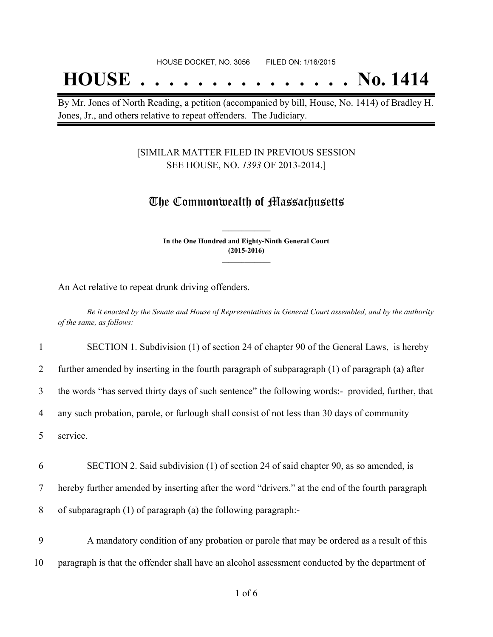## **HOUSE . . . . . . . . . . . . . . . No. 1414**

By Mr. Jones of North Reading, a petition (accompanied by bill, House, No. 1414) of Bradley H. Jones, Jr., and others relative to repeat offenders. The Judiciary.

#### [SIMILAR MATTER FILED IN PREVIOUS SESSION SEE HOUSE, NO. *1393* OF 2013-2014.]

### The Commonwealth of Massachusetts

**In the One Hundred and Eighty-Ninth General Court (2015-2016) \_\_\_\_\_\_\_\_\_\_\_\_\_\_\_**

**\_\_\_\_\_\_\_\_\_\_\_\_\_\_\_**

An Act relative to repeat drunk driving offenders.

Be it enacted by the Senate and House of Representatives in General Court assembled, and by the authority *of the same, as follows:*

1 SECTION 1. Subdivision (1) of section 24 of chapter 90 of the General Laws, is hereby

2 further amended by inserting in the fourth paragraph of subparagraph (1) of paragraph (a) after

3 the words "has served thirty days of such sentence" the following words:- provided, further, that

4 any such probation, parole, or furlough shall consist of not less than 30 days of community

5 service.

6 SECTION 2. Said subdivision (1) of section 24 of said chapter 90, as so amended, is

7 hereby further amended by inserting after the word "drivers." at the end of the fourth paragraph

8 of subparagraph (1) of paragraph (a) the following paragraph:-

9 A mandatory condition of any probation or parole that may be ordered as a result of this 10 paragraph is that the offender shall have an alcohol assessment conducted by the department of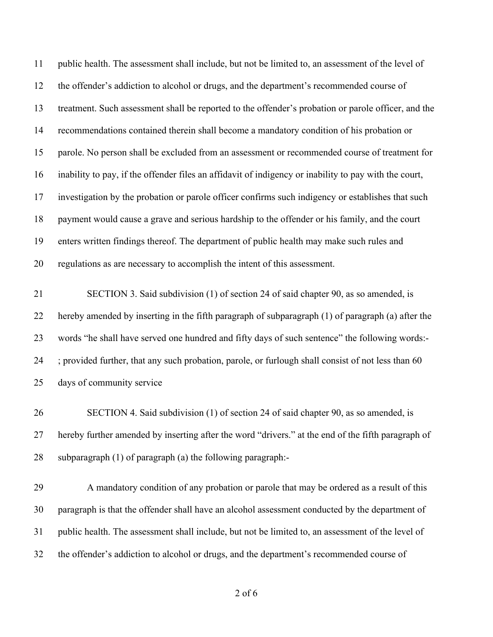public health. The assessment shall include, but not be limited to, an assessment of the level of the offender's addiction to alcohol or drugs, and the department's recommended course of treatment. Such assessment shall be reported to the offender's probation or parole officer, and the recommendations contained therein shall become a mandatory condition of his probation or parole. No person shall be excluded from an assessment or recommended course of treatment for inability to pay, if the offender files an affidavit of indigency or inability to pay with the court, investigation by the probation or parole officer confirms such indigency or establishes that such payment would cause a grave and serious hardship to the offender or his family, and the court enters written findings thereof. The department of public health may make such rules and regulations as are necessary to accomplish the intent of this assessment.

 SECTION 3. Said subdivision (1) of section 24 of said chapter 90, as so amended, is hereby amended by inserting in the fifth paragraph of subparagraph (1) of paragraph (a) after the words "he shall have served one hundred and fifty days of such sentence" the following words:- ; provided further, that any such probation, parole, or furlough shall consist of not less than 60 days of community service

 SECTION 4. Said subdivision (1) of section 24 of said chapter 90, as so amended, is hereby further amended by inserting after the word "drivers." at the end of the fifth paragraph of subparagraph (1) of paragraph (a) the following paragraph:-

 A mandatory condition of any probation or parole that may be ordered as a result of this paragraph is that the offender shall have an alcohol assessment conducted by the department of public health. The assessment shall include, but not be limited to, an assessment of the level of the offender's addiction to alcohol or drugs, and the department's recommended course of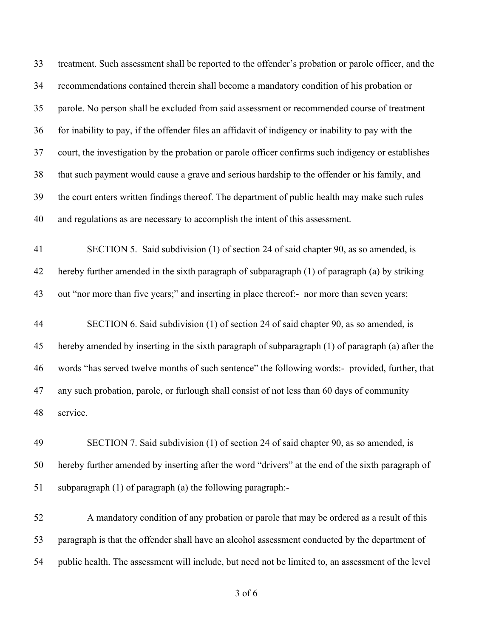treatment. Such assessment shall be reported to the offender's probation or parole officer, and the recommendations contained therein shall become a mandatory condition of his probation or parole. No person shall be excluded from said assessment or recommended course of treatment for inability to pay, if the offender files an affidavit of indigency or inability to pay with the court, the investigation by the probation or parole officer confirms such indigency or establishes that such payment would cause a grave and serious hardship to the offender or his family, and the court enters written findings thereof. The department of public health may make such rules and regulations as are necessary to accomplish the intent of this assessment.

 SECTION 5. Said subdivision (1) of section 24 of said chapter 90, as so amended, is hereby further amended in the sixth paragraph of subparagraph (1) of paragraph (a) by striking 43 out "nor more than five years;" and inserting in place thereof:- nor more than seven years;

 SECTION 6. Said subdivision (1) of section 24 of said chapter 90, as so amended, is hereby amended by inserting in the sixth paragraph of subparagraph (1) of paragraph (a) after the words "has served twelve months of such sentence" the following words:- provided, further, that any such probation, parole, or furlough shall consist of not less than 60 days of community service.

 SECTION 7. Said subdivision (1) of section 24 of said chapter 90, as so amended, is hereby further amended by inserting after the word "drivers" at the end of the sixth paragraph of subparagraph (1) of paragraph (a) the following paragraph:-

 A mandatory condition of any probation or parole that may be ordered as a result of this paragraph is that the offender shall have an alcohol assessment conducted by the department of public health. The assessment will include, but need not be limited to, an assessment of the level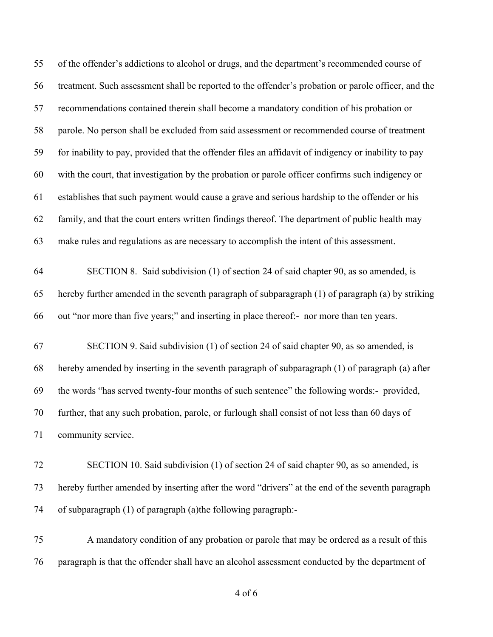| 55 | of the offender's addictions to alcohol or drugs, and the department's recommended course of         |
|----|------------------------------------------------------------------------------------------------------|
| 56 | treatment. Such assessment shall be reported to the offender's probation or parole officer, and the  |
| 57 | recommendations contained therein shall become a mandatory condition of his probation or             |
| 58 | parole. No person shall be excluded from said assessment or recommended course of treatment          |
| 59 | for inability to pay, provided that the offender files an affidavit of indigency or inability to pay |
| 60 | with the court, that investigation by the probation or parole officer confirms such indigency or     |
| 61 | establishes that such payment would cause a grave and serious hardship to the offender or his        |
| 62 | family, and that the court enters written findings thereof. The department of public health may      |
| 63 | make rules and regulations as are necessary to accomplish the intent of this assessment.             |
| 64 | SECTION 8. Said subdivision (1) of section 24 of said chapter 90, as so amended, is                  |
| 65 | hereby further amended in the seventh paragraph of subparagraph (1) of paragraph (a) by striking     |
| 66 | out "nor more than five years;" and inserting in place thereof:- nor more than ten years.            |
| 67 | SECTION 9. Said subdivision (1) of section 24 of said chapter 90, as so amended, is                  |
| 68 | hereby amended by inserting in the seventh paragraph of subparagraph (1) of paragraph (a) after      |
| 69 | the words "has served twenty-four months of such sentence" the following words:- provided,           |
| 70 | further, that any such probation, parole, or furlough shall consist of not less than 60 days of      |
| 71 | community service.                                                                                   |
| 72 | SECTION 10. Said subdivision (1) of section 24 of said chapter 90, as so amended, is                 |
| 73 | hereby further amended by inserting after the word "drivers" at the end of the seventh paragraph     |
| 74 | of subparagraph (1) of paragraph (a) the following paragraph:-                                       |
| 75 | A mandatory condition of any probation or parole that may be ordered as a result of this             |
| 76 | paragraph is that the offender shall have an alcohol assessment conducted by the department of       |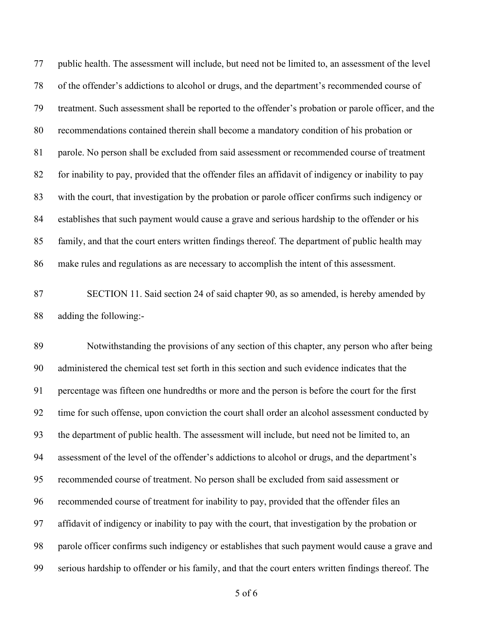public health. The assessment will include, but need not be limited to, an assessment of the level of the offender's addictions to alcohol or drugs, and the department's recommended course of treatment. Such assessment shall be reported to the offender's probation or parole officer, and the recommendations contained therein shall become a mandatory condition of his probation or parole. No person shall be excluded from said assessment or recommended course of treatment for inability to pay, provided that the offender files an affidavit of indigency or inability to pay with the court, that investigation by the probation or parole officer confirms such indigency or establishes that such payment would cause a grave and serious hardship to the offender or his family, and that the court enters written findings thereof. The department of public health may make rules and regulations as are necessary to accomplish the intent of this assessment.

 SECTION 11. Said section 24 of said chapter 90, as so amended, is hereby amended by adding the following:-

 Notwithstanding the provisions of any section of this chapter, any person who after being administered the chemical test set forth in this section and such evidence indicates that the percentage was fifteen one hundredths or more and the person is before the court for the first time for such offense, upon conviction the court shall order an alcohol assessment conducted by the department of public health. The assessment will include, but need not be limited to, an assessment of the level of the offender's addictions to alcohol or drugs, and the department's recommended course of treatment. No person shall be excluded from said assessment or recommended course of treatment for inability to pay, provided that the offender files an affidavit of indigency or inability to pay with the court, that investigation by the probation or parole officer confirms such indigency or establishes that such payment would cause a grave and serious hardship to offender or his family, and that the court enters written findings thereof. The